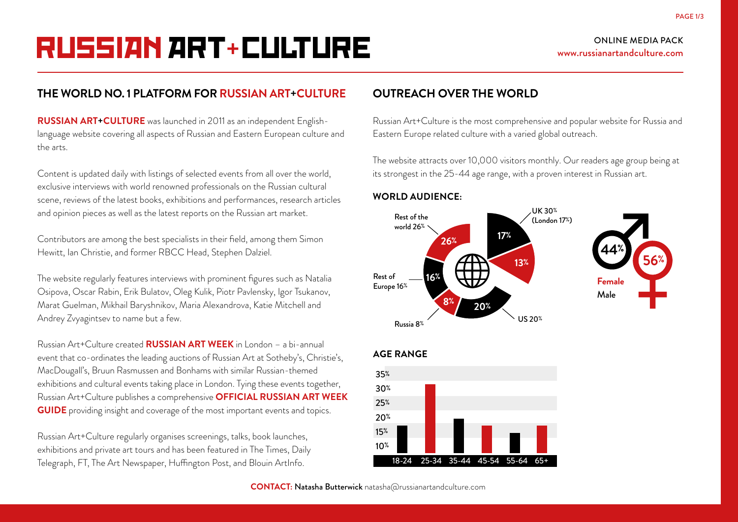# RUSSIAN ART+ CULTURE

## ONLINE MEDIA PACK www.russianartandculture.com

## **THE WORLD NO. 1 PLATFORM FOR RUSSIAN ART+CULTURE**

**RUSSIAN ART+CULTURE** was launched in 2011 as an independent Englishlanguage website covering all aspects of Russian and Eastern European culture and the arts.

Content is updated daily with listings of selected events from all over the world, exclusive interviews with world renowned professionals on the Russian cultural scene, reviews of the latest books, exhibitions and performances, research articles and opinion pieces as well as the latest reports on the Russian art market.

Contributors are among the best specialists in their field, among them Simon Hewitt, Ian Christie, and former RBCC Head, Stephen Dalziel.

The website regularly features interviews with prominent figures such as Natalia Osipova, Oscar Rabin, Erik Bulatov, Oleg Kulik, Piotr Pavlensky, Igor Tsukanov, Marat Guelman, Mikhail Baryshnikov, Maria Alexandrova, Katie Mitchell and Andrey Zvyagintsev to name but a few.

Russian Art+Culture created **RUSSIAN ART WEEK** in London – a bi-annual event that co-ordinates the leading auctions of Russian Art at Sotheby's, Christie's, MacDougall's, Bruun Rasmussen and Bonhams with similar Russian-themed exhibitions and cultural events taking place in London. Tying these events together, Russian Art+Culture publishes a comprehensive **OFFICIAL RUSSIAN ART WEEK GUIDE** providing insight and coverage of the most important events and topics.

Russian Art+Culture regularly organises screenings, talks, book launches, exhibitions and private art tours and has been featured in The Times, Daily Telegraph, FT, The Art Newspaper, Huffington Post, and Blouin ArtInfo.

## **OUTREACH OVER THE WORLD**

Russian Art+Culture is the most comprehensive and popular website for Russia and Eastern Europe related culture with a varied global outreach.

The website attracts over 10,000 visitors monthly. Our readers age group being at its strongest in the 25-44 age range, with a proven interest in Russian art.

#### **WORLD AUDIENCE:**





### **AGE RANGE**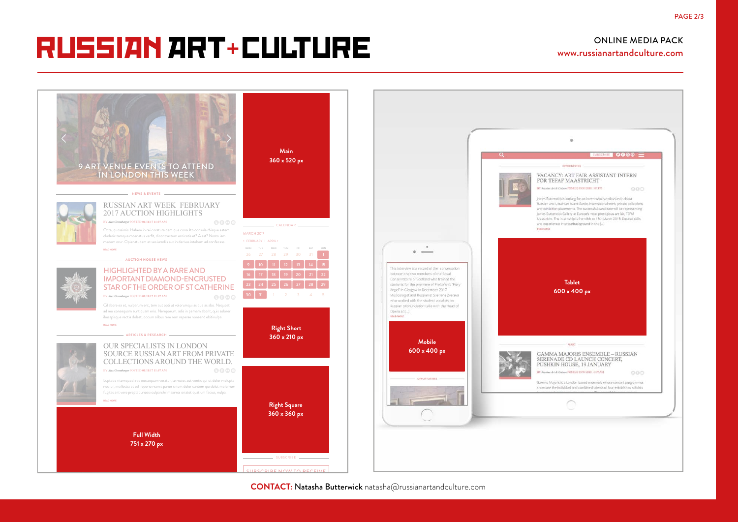## HOME I ABOUT I CONTRIBUTORS I ADVERTISE I PARTNERS I CONTACT US RUSSIAN ART+ CULTURE RUSSIAN ART+ CULTURE

RUSSIAN ART WEEK FEBRUARY 2017

## ONLINE MEDIA PACK www.russianartandculture.com



**CONTACT: Natasha Butterwick** natasha@russianartandculture.com